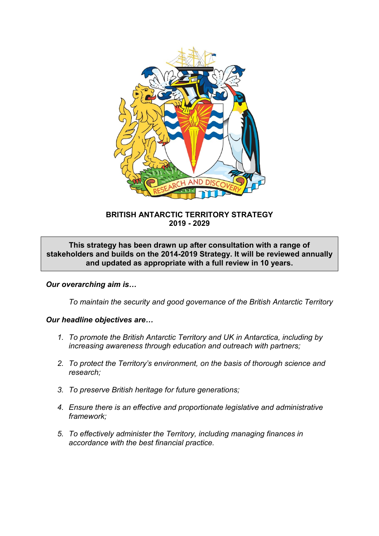

# **BRITISH ANTARCTIC TERRITORY STRATEGY 2019 - 2029**

**This strategy has been drawn up after consultation with a range of stakeholders and builds on the 2014-2019 Strategy. It will be reviewed annually and updated as appropriate with a full review in 10 years.**

# *Our overarching aim is…*

*To maintain the security and good governance of the British Antarctic Territory*

#### *Our headline objectives are…*

- *1. To promote the British Antarctic Territory and UK in Antarctica, including by increasing awareness through education and outreach with partners;*
- *2. To protect the Territory's environment, on the basis of thorough science and research;*
- *3. To preserve British heritage for future generations;*
- *4. Ensure there is an effective and proportionate legislative and administrative framework;*
- *5. To effectively administer the Territory, including managing finances in accordance with the best financial practice.*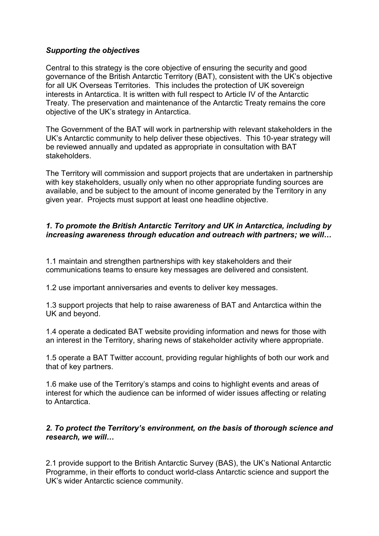# *Supporting the objectives*

Central to this strategy is the core objective of ensuring the security and good governance of the British Antarctic Territory (BAT), consistent with the UK's objective for all UK Overseas Territories. This includes the protection of UK sovereign interests in Antarctica. It is written with full respect to Article IV of the Antarctic Treaty. The preservation and maintenance of the Antarctic Treaty remains the core objective of the UK's strategy in Antarctica.

The Government of the BAT will work in partnership with relevant stakeholders in the UK's Antarctic community to help deliver these objectives. This 10-year strategy will be reviewed annually and updated as appropriate in consultation with BAT stakeholders.

The Territory will commission and support projects that are undertaken in partnership with key stakeholders, usually only when no other appropriate funding sources are available, and be subject to the amount of income generated by the Territory in any given year. Projects must support at least one headline objective.

# *1. To promote the British Antarctic Territory and UK in Antarctica, including by increasing awareness through education and outreach with partners; we will…*

1.1 maintain and strengthen partnerships with key stakeholders and their communications teams to ensure key messages are delivered and consistent.

1.2 use important anniversaries and events to deliver key messages.

1.3 support projects that help to raise awareness of BAT and Antarctica within the UK and beyond.

1.4 operate a dedicated BAT website providing information and news for those with an interest in the Territory, sharing news of stakeholder activity where appropriate.

1.5 operate a BAT Twitter account, providing regular highlights of both our work and that of key partners.

1.6 make use of the Territory's stamps and coins to highlight events and areas of interest for which the audience can be informed of wider issues affecting or relating to Antarctica.

#### *2. To protect the Territory's environment, on the basis of thorough science and research, we will…*

2.1 provide support to the British Antarctic Survey (BAS), the UK's National Antarctic Programme, in their efforts to conduct world-class Antarctic science and support the UK's wider Antarctic science community.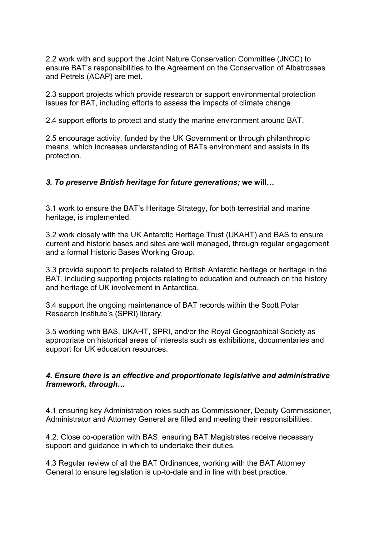2.2 work with and support the Joint Nature Conservation Committee (JNCC) to ensure BAT's responsibilities to the Agreement on the Conservation of Albatrosses and Petrels (ACAP) are met.

2.3 support projects which provide research or support environmental protection issues for BAT, including efforts to assess the impacts of climate change.

2.4 support efforts to protect and study the marine environment around BAT.

2.5 encourage activity, funded by the UK Government or through philanthropic means, which increases understanding of BATs environment and assists in its protection.

## *3. To preserve British heritage for future generations;* **we will…**

3.1 work to ensure the BAT's Heritage Strategy, for both terrestrial and marine heritage, is implemented.

3.2 work closely with the UK Antarctic Heritage Trust (UKAHT) and BAS to ensure current and historic bases and sites are well managed, through regular engagement and a formal Historic Bases Working Group.

3.3 provide support to projects related to British Antarctic heritage or heritage in the BAT, including supporting projects relating to education and outreach on the history and heritage of UK involvement in Antarctica.

3.4 support the ongoing maintenance of BAT records within the Scott Polar Research Institute's (SPRI) library.

3.5 working with BAS, UKAHT, SPRI, and/or the Royal Geographical Society as appropriate on historical areas of interests such as exhibitions, documentaries and support for UK education resources.

## *4. Ensure there is an effective and proportionate legislative and administrative framework, through…*

4.1 ensuring key Administration roles such as Commissioner, Deputy Commissioner, Administrator and Attorney General are filled and meeting their responsibilities.

4.2. Close co-operation with BAS, ensuring BAT Magistrates receive necessary support and guidance in which to undertake their duties.

4.3 Regular review of all the BAT Ordinances, working with the BAT Attorney General to ensure legislation is up-to-date and in line with best practice.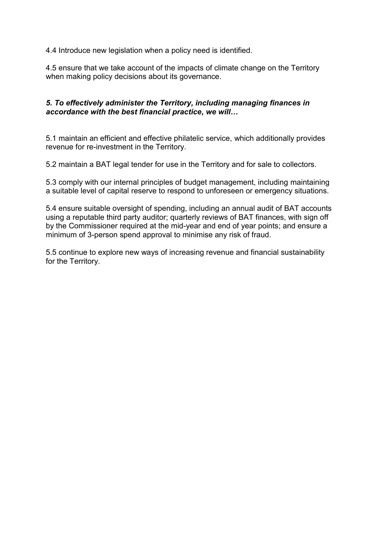4.4 Introduce new legislation when a policy need is identified.

4.5 ensure that we take account of the impacts of climate change on the Territory when making policy decisions about its governance.

## *5. To effectively administer the Territory, including managing finances in accordance with the best financial practice, we will…*

5.1 maintain an efficient and effective philatelic service, which additionally provides revenue for re-investment in the Territory.

5.2 maintain a BAT legal tender for use in the Territory and for sale to collectors.

5.3 comply with our internal principles of budget management, including maintaining a suitable level of capital reserve to respond to unforeseen or emergency situations.

5.4 ensure suitable oversight of spending, including an annual audit of BAT accounts using a reputable third party auditor; quarterly reviews of BAT finances, with sign off by the Commissioner required at the mid-year and end of year points; and ensure a minimum of 3-person spend approval to minimise any risk of fraud.

5.5 continue to explore new ways of increasing revenue and financial sustainability for the Territory.